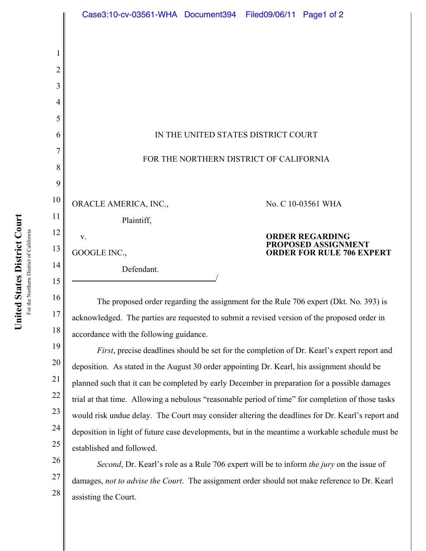|    | Case3:10-cv-03561-WHA Document394 Filed09/06/11 Page1 of 2                                   |  |  |                                               |
|----|----------------------------------------------------------------------------------------------|--|--|-----------------------------------------------|
|    |                                                                                              |  |  |                                               |
| 1  |                                                                                              |  |  |                                               |
| 2  |                                                                                              |  |  |                                               |
| 3  |                                                                                              |  |  |                                               |
| 4  |                                                                                              |  |  |                                               |
| 5  |                                                                                              |  |  |                                               |
| 6  | IN THE UNITED STATES DISTRICT COURT                                                          |  |  |                                               |
| 7  | FOR THE NORTHERN DISTRICT OF CALIFORNIA                                                      |  |  |                                               |
| 8  |                                                                                              |  |  |                                               |
| 9  |                                                                                              |  |  |                                               |
| 10 | ORACLE AMERICA, INC.,                                                                        |  |  | No. C 10-03561 WHA                            |
| 11 | Plaintiff,                                                                                   |  |  |                                               |
| 12 | V.                                                                                           |  |  | <b>ORDER REGARDING</b><br>PROPOSED ASSIGNMENT |
| 13 | GOOGLE INC.,                                                                                 |  |  | <b>ORDER FOR RULE 706 EXPERT</b>              |
| 14 | Defendant.                                                                                   |  |  |                                               |
| 15 |                                                                                              |  |  |                                               |
| 16 | The proposed order regarding the assignment for the Rule 706 expert (Dkt. No. 393) is        |  |  |                                               |
| 17 | acknowledged. The parties are requested to submit a revised version of the proposed order in |  |  |                                               |
| 18 | accordance with the following guidance.                                                      |  |  |                                               |

19 20 21 22 23 24 25 *First*, precise deadlines should be set for the completion of Dr. Kearl's expert report and deposition. As stated in the August 30 order appointing Dr. Kearl, his assignment should be planned such that it can be completed by early December in preparation for a possible damages trial at that time. Allowing a nebulous "reasonable period of time" for completion of those tasks would risk undue delay. The Court may consider altering the deadlines for Dr. Kearl's report and deposition in light of future case developments, but in the meantime a workable schedule must be established and followed.

26 27 28 *Second*, Dr. Kearl's role as a Rule 706 expert will be to inform *the jury* on the issue of damages, *not to advise the Court*. The assignment order should not make reference to Dr. Kearl assisting the Court.